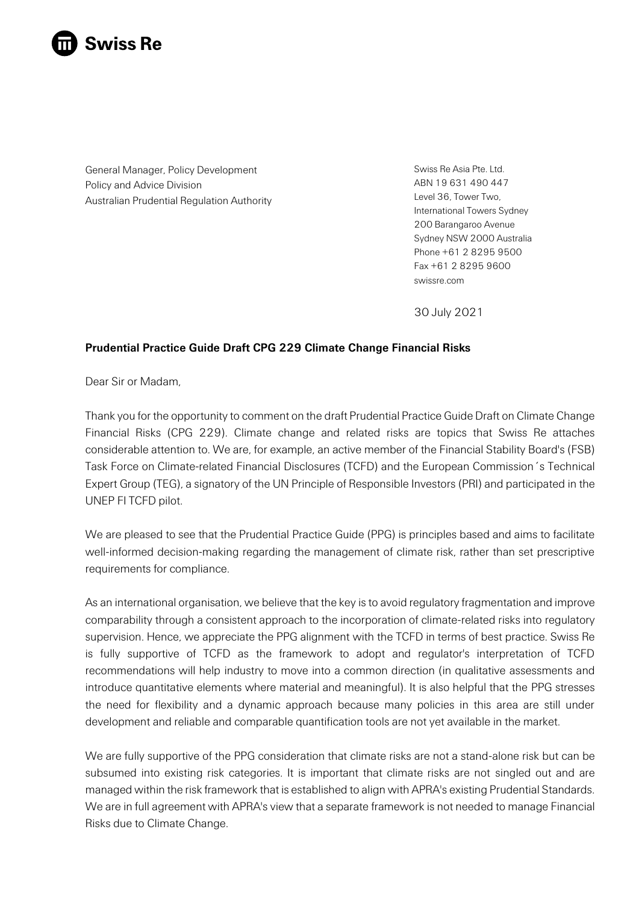

General Manager, Policy Development Policy and Advice Division Australian Prudential Regulation Authority Swiss Re Asia Pte. Ltd. ABN 19 631 490 447 Level 36, Tower Two, International Towers Sydney 200 Barangaroo Avenue Sydney NSW 2000 Australia Phone +61 2 8295 9500 Fax +61 2 8295 9600 swissre.com

30 July 2021

# **Prudential Practice Guide Draft CPG 229 Climate Change Financial Risks**

Dear Sir or Madam,

Thank you for the opportunity to comment on the draft Prudential Practice Guide Draft on Climate Change Financial Risks (CPG 229). Climate change and related risks are topics that Swiss Re attaches considerable attention to. We are, for example, an active member of the Financial Stability Board's (FSB) Task Force on Climate-related Financial Disclosures (TCFD) and the European Commission´s Technical Expert Group (TEG), a signatory of the UN Principle of Responsible Investors (PRI) and participated in the UNEP FI TCFD pilot.

We are pleased to see that the Prudential Practice Guide (PPG) is principles based and aims to facilitate well-informed decision-making regarding the management of climate risk, rather than set prescriptive requirements for compliance.

As an international organisation, we believe that the key is to avoid regulatory fragmentation and improve comparability through a consistent approach to the incorporation of climate-related risks into regulatory supervision. Hence, we appreciate the PPG alignment with the TCFD in terms of best practice. Swiss Re is fully supportive of TCFD as the framework to adopt and regulator's interpretation of TCFD recommendations will help industry to move into a common direction (in qualitative assessments and introduce quantitative elements where material and meaningful). It is also helpful that the PPG stresses the need for flexibility and a dynamic approach because many policies in this area are still under development and reliable and comparable quantification tools are not yet available in the market.

We are fully supportive of the PPG consideration that climate risks are not a stand-alone risk but can be subsumed into existing risk categories. It is important that climate risks are not singled out and are managed within the risk framework that is established to align with APRA's existing Prudential Standards. We are in full agreement with APRA's view that a separate framework is not needed to manage Financial Risks due to Climate Change.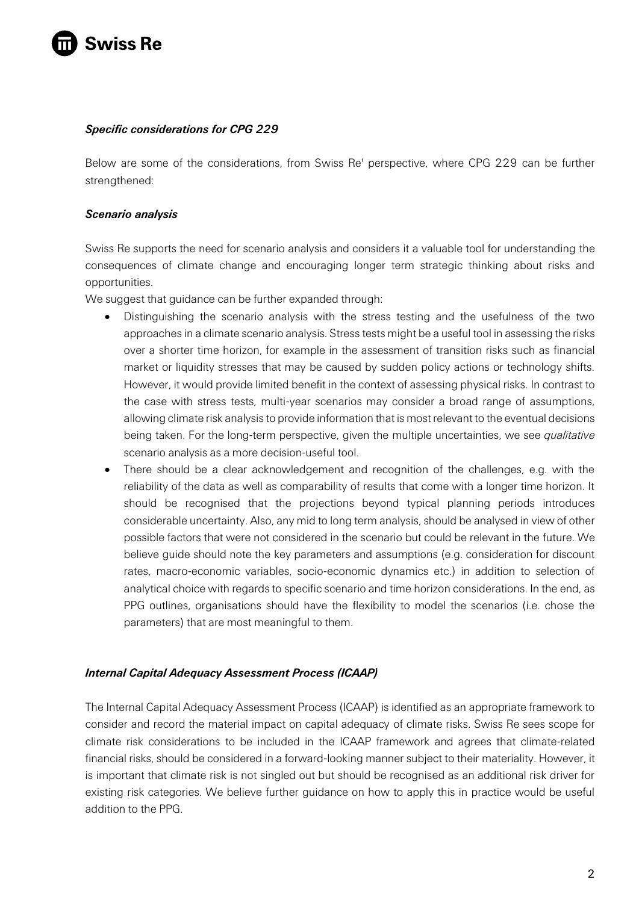

## *Specific considerations for CPG 229*

Below are some of the considerations, from Swiss Re' perspective, where CPG 229 can be further strengthened:

### *Scenario analysis*

Swiss Re supports the need for scenario analysis and considers it a valuable tool for understanding the consequences of climate change and encouraging longer term strategic thinking about risks and opportunities.

We suggest that guidance can be further expanded through:

- Distinguishing the scenario analysis with the stress testing and the usefulness of the two approaches in a climate scenario analysis. Stress tests might be a useful tool in assessing the risks over a shorter time horizon, for example in the assessment of transition risks such as financial market or liquidity stresses that may be caused by sudden policy actions or technology shifts. However, it would provide limited benefit in the context of assessing physical risks. In contrast to the case with stress tests, multi-year scenarios may consider a broad range of assumptions, allowing climate risk analysis to provide information that is most relevant to the eventual decisions being taken. For the long-term perspective, given the multiple uncertainties, we see *qualitative* scenario analysis as a more decision-useful tool.
- There should be a clear acknowledgement and recognition of the challenges, e.g. with the reliability of the data as well as comparability of results that come with a longer time horizon. It should be recognised that the projections beyond typical planning periods introduces considerable uncertainty. Also, any mid to long term analysis, should be analysed in view of other possible factors that were not considered in the scenario but could be relevant in the future. We believe guide should note the key parameters and assumptions (e.g. consideration for discount rates, macro-economic variables, socio-economic dynamics etc.) in addition to selection of analytical choice with regards to specific scenario and time horizon considerations. In the end, as PPG outlines, organisations should have the flexibility to model the scenarios (i.e. chose the parameters) that are most meaningful to them.

#### *Internal Capital Adequacy Assessment Process (ICAAP)*

The Internal Capital Adequacy Assessment Process (ICAAP) is identified as an appropriate framework to consider and record the material impact on capital adequacy of climate risks. Swiss Re sees scope for climate risk considerations to be included in the ICAAP framework and agrees that climate-related financial risks, should be considered in a forward-looking manner subject to their materiality. However, it is important that climate risk is not singled out but should be recognised as an additional risk driver for existing risk categories. We believe further guidance on how to apply this in practice would be useful addition to the PPG.